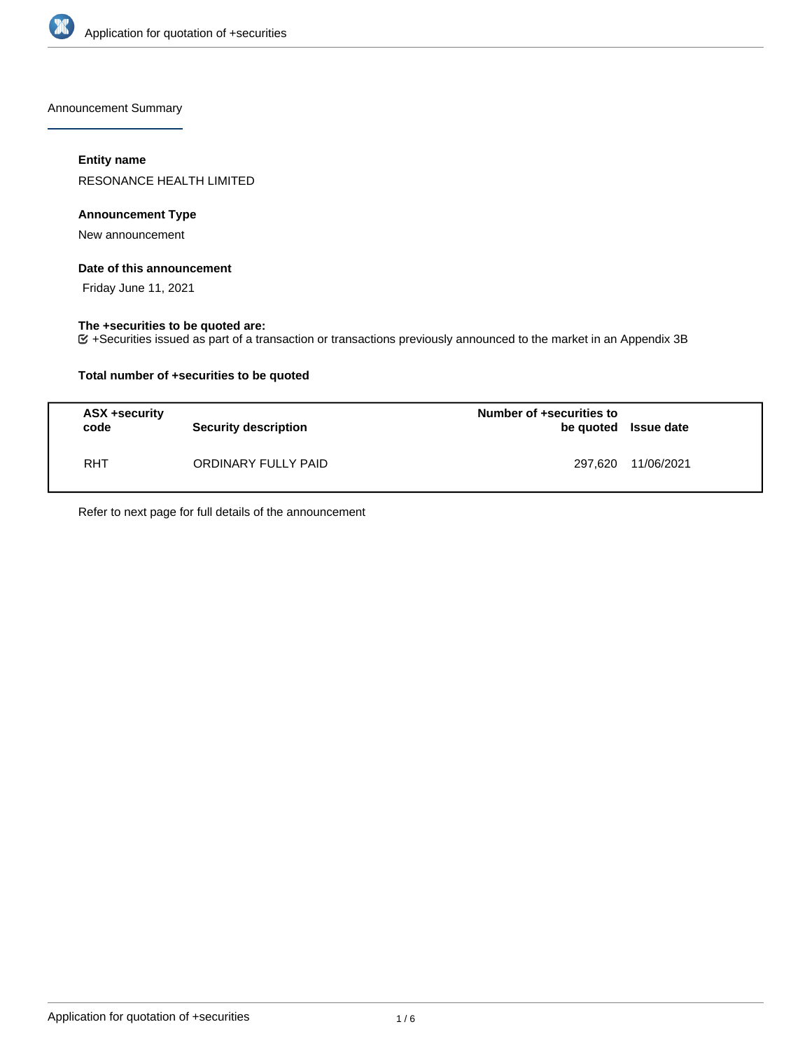

Announcement Summary

## **Entity name**

RESONANCE HEALTH LIMITED

## **Announcement Type**

New announcement

### **Date of this announcement**

Friday June 11, 2021

## **The +securities to be quoted are:**

+Securities issued as part of a transaction or transactions previously announced to the market in an Appendix 3B

## **Total number of +securities to be quoted**

| ASX +security<br>code | <b>Security description</b> | Number of +securities to<br>be quoted Issue date |            |
|-----------------------|-----------------------------|--------------------------------------------------|------------|
| <b>RHT</b>            | ORDINARY FULLY PAID         | 297.620                                          | 11/06/2021 |

Refer to next page for full details of the announcement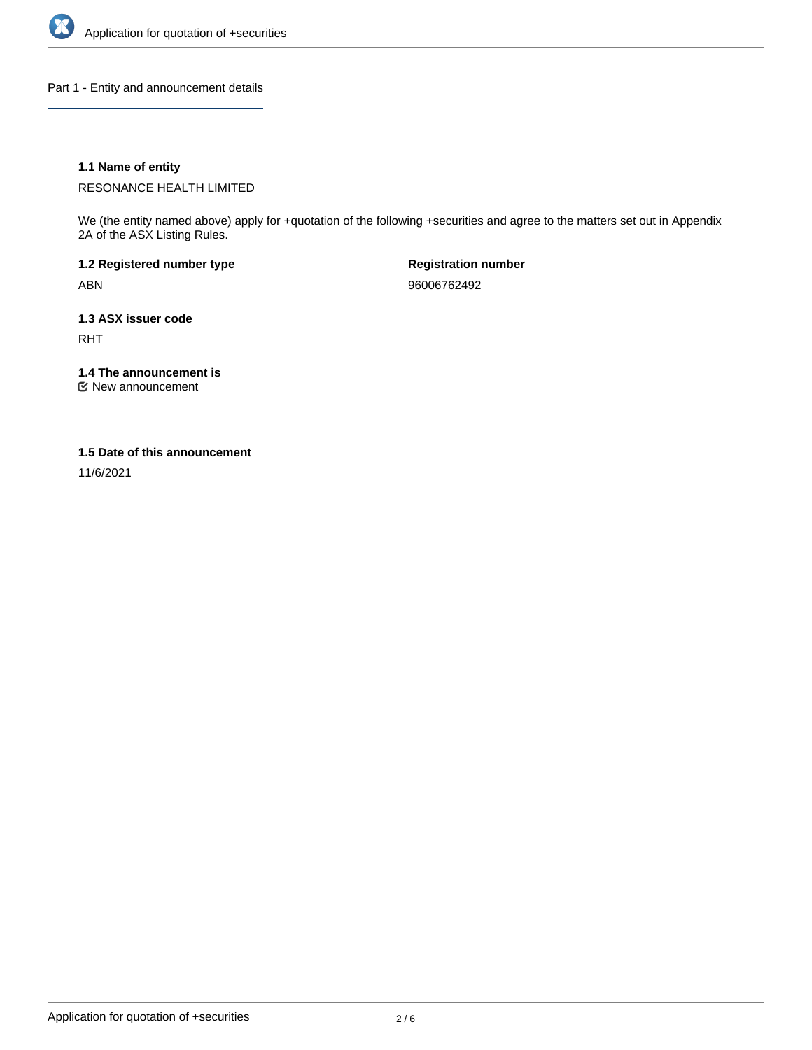

Part 1 - Entity and announcement details

## **1.1 Name of entity**

RESONANCE HEALTH LIMITED

We (the entity named above) apply for +quotation of the following +securities and agree to the matters set out in Appendix 2A of the ASX Listing Rules.

**1.2 Registered number type** ABN

**Registration number** 96006762492

**1.3 ASX issuer code** RHT

**1.4 The announcement is**

New announcement

## **1.5 Date of this announcement**

11/6/2021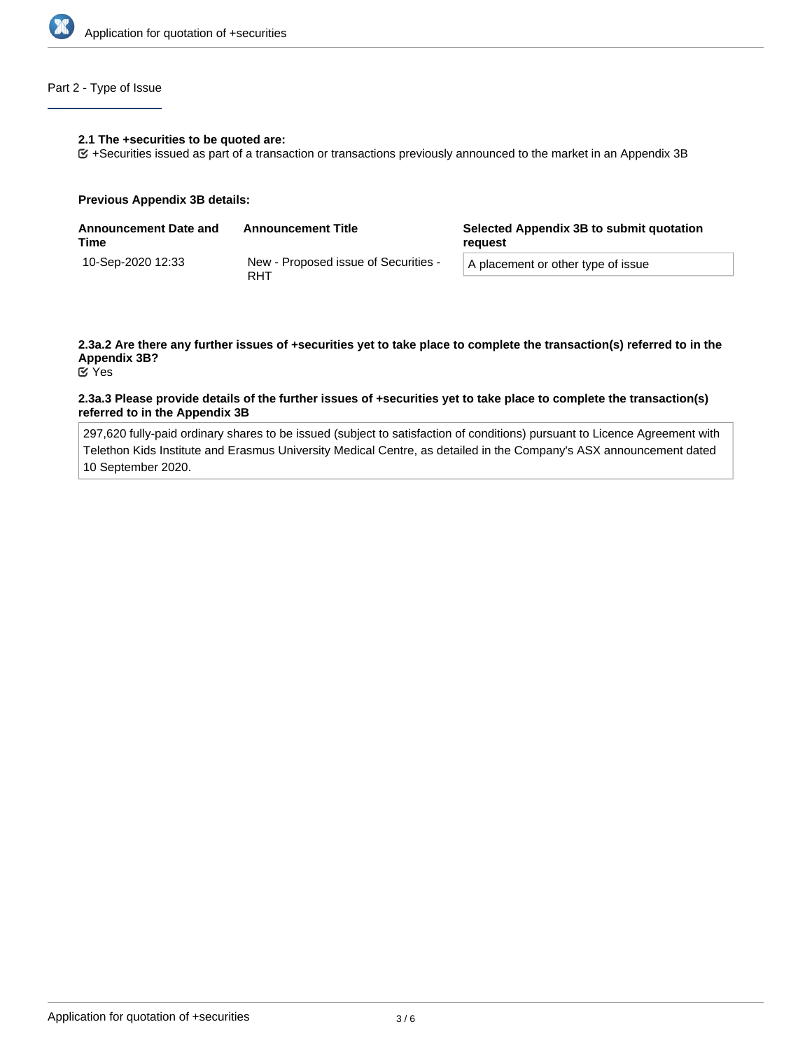

# Part 2 - Type of Issue

### **2.1 The +securities to be quoted are:**

+Securities issued as part of a transaction or transactions previously announced to the market in an Appendix 3B

### **Previous Appendix 3B details:**

| <b>Announcement Date and</b><br>Time | <b>Announcement Title</b>                   | Selected Appendix 3B to submit quotation<br>reguest |  |
|--------------------------------------|---------------------------------------------|-----------------------------------------------------|--|
| 10-Sep-2020 12:33                    | New - Proposed issue of Securities -<br>RHT | A placement or other type of issue                  |  |

# **2.3a.2 Are there any further issues of +securities yet to take place to complete the transaction(s) referred to in the Appendix 3B?**

Yes

### **2.3a.3 Please provide details of the further issues of +securities yet to take place to complete the transaction(s) referred to in the Appendix 3B**

297,620 fully-paid ordinary shares to be issued (subject to satisfaction of conditions) pursuant to Licence Agreement with Telethon Kids Institute and Erasmus University Medical Centre, as detailed in the Company's ASX announcement dated 10 September 2020.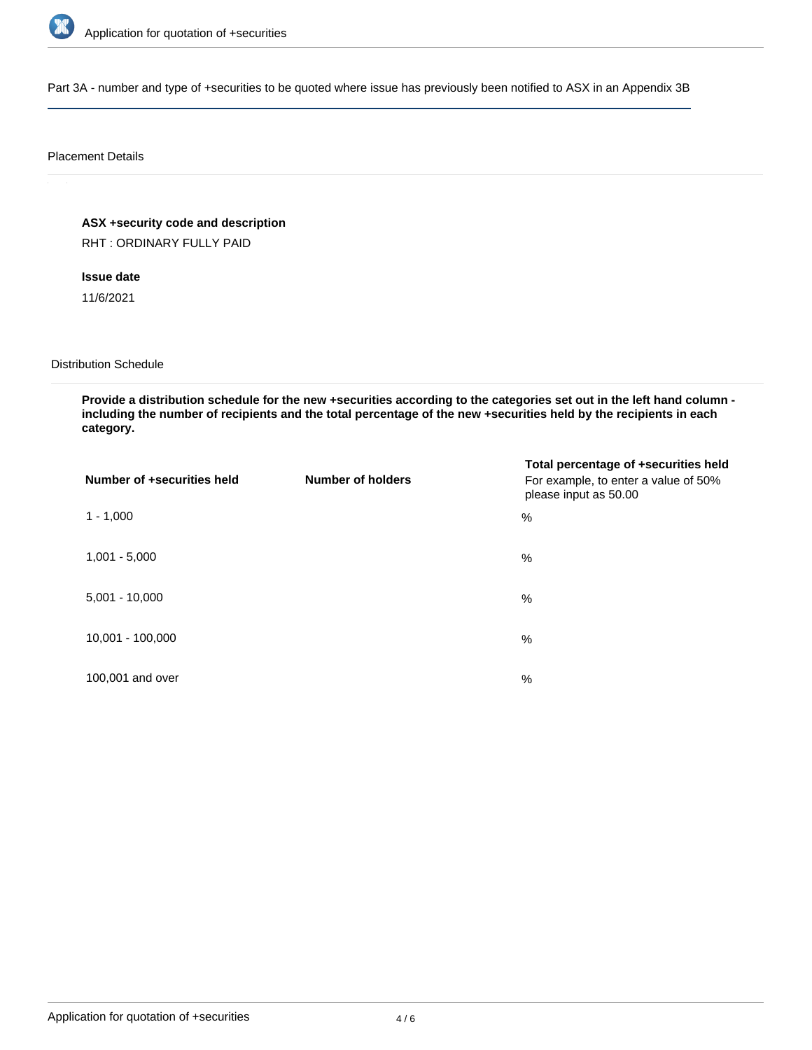

Part 3A - number and type of +securities to be quoted where issue has previously been notified to ASX in an Appendix 3B

## Placement Details

**ASX +security code and description**

RHT : ORDINARY FULLY PAID

# **Issue date**

11/6/2021

## Distribution Schedule

**Provide a distribution schedule for the new +securities according to the categories set out in the left hand column including the number of recipients and the total percentage of the new +securities held by the recipients in each category.**

| Number of +securities held | <b>Number of holders</b> | Total percentage of +securities held<br>For example, to enter a value of 50%<br>please input as 50.00 |
|----------------------------|--------------------------|-------------------------------------------------------------------------------------------------------|
| $1 - 1,000$                |                          | %                                                                                                     |
| $1,001 - 5,000$            |                          | $\%$                                                                                                  |
| $5,001 - 10,000$           |                          | %                                                                                                     |
| 10,001 - 100,000           |                          | %                                                                                                     |
| 100,001 and over           |                          | $\%$                                                                                                  |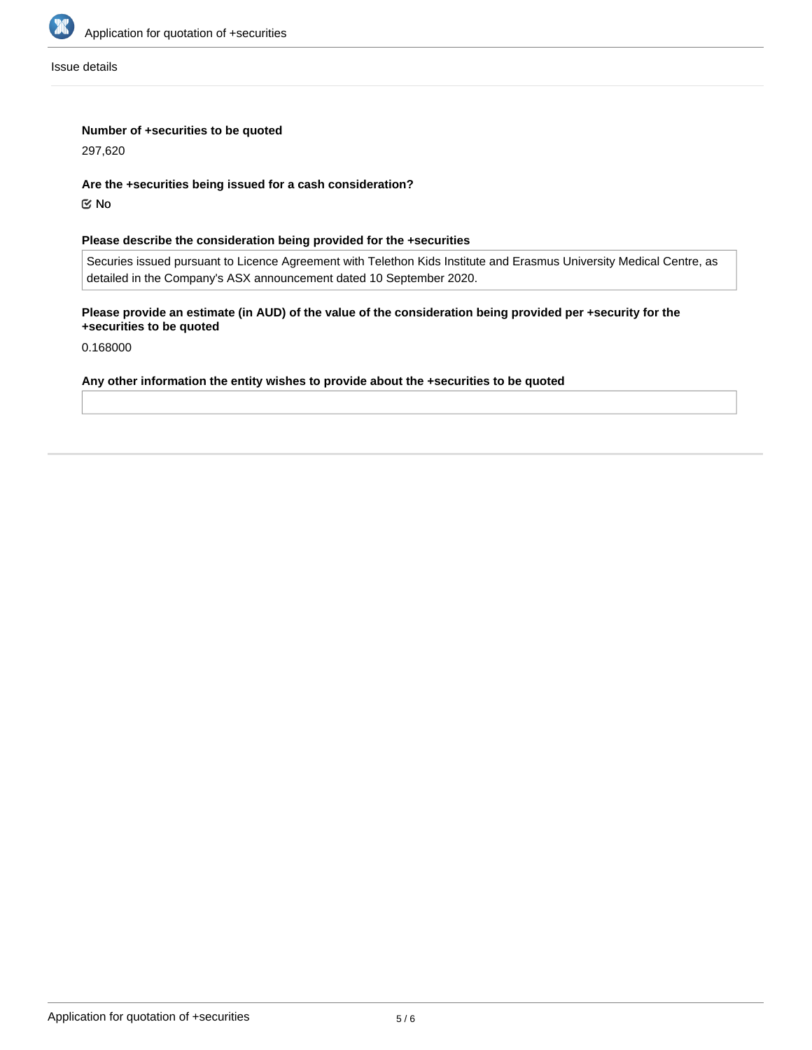

Issue details

## **Number of +securities to be quoted**

297,620

## **Are the +securities being issued for a cash consideration?**

No

## **Please describe the consideration being provided for the +securities**

Securies issued pursuant to Licence Agreement with Telethon Kids Institute and Erasmus University Medical Centre, as detailed in the Company's ASX announcement dated 10 September 2020.

# **Please provide an estimate (in AUD) of the value of the consideration being provided per +security for the +securities to be quoted**

0.168000

### **Any other information the entity wishes to provide about the +securities to be quoted**